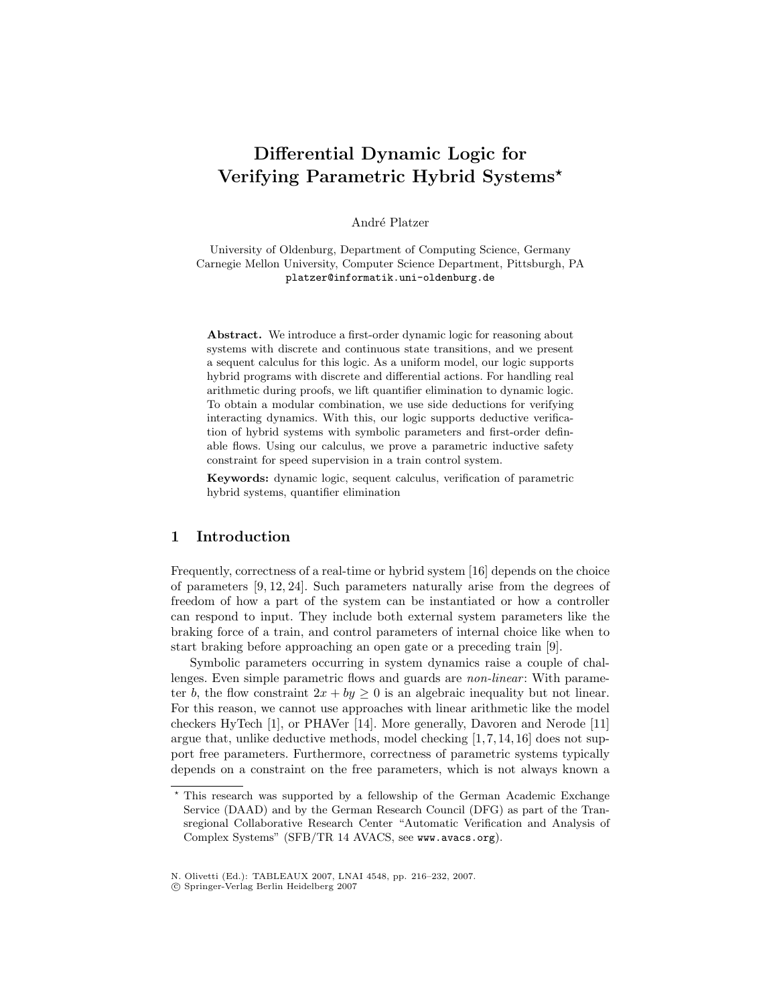# Differential Dynamic Logic for Verifying Parametric Hybrid Systems?

André Platzer

University of Oldenburg, Department of Computing Science, Germany Carnegie Mellon University, Computer Science Department, Pittsburgh, PA platzer@informatik.uni-oldenburg.de

Abstract. We introduce a first-order dynamic logic for reasoning about systems with discrete and continuous state transitions, and we present a sequent calculus for this logic. As a uniform model, our logic supports hybrid programs with discrete and differential actions. For handling real arithmetic during proofs, we lift quantifier elimination to dynamic logic. To obtain a modular combination, we use side deductions for verifying interacting dynamics. With this, our logic supports deductive verification of hybrid systems with symbolic parameters and first-order definable flows. Using our calculus, we prove a parametric inductive safety constraint for speed supervision in a train control system.

Keywords: dynamic logic, sequent calculus, verification of parametric hybrid systems, quantifier elimination

# 1 Introduction

Frequently, correctness of a real-time or hybrid system [16] depends on the choice of parameters [9, 12, 24]. Such parameters naturally arise from the degrees of freedom of how a part of the system can be instantiated or how a controller can respond to input. They include both external system parameters like the braking force of a train, and control parameters of internal choice like when to start braking before approaching an open gate or a preceding train [9].

Symbolic parameters occurring in system dynamics raise a couple of challenges. Even simple parametric flows and guards are *non-linear*: With parameter b, the flow constraint  $2x + by \geq 0$  is an algebraic inequality but not linear. For this reason, we cannot use approaches with linear arithmetic like the model checkers HyTech [1], or PHAVer [14]. More generally, Davoren and Nerode [11] argue that, unlike deductive methods, model checking  $[1, 7, 14, 16]$  does not support free parameters. Furthermore, correctness of parametric systems typically depends on a constraint on the free parameters, which is not always known a

<sup>?</sup> This research was supported by a fellowship of the German Academic Exchange Service (DAAD) and by the German Research Council (DFG) as part of the Transregional Collaborative Research Center "Automatic Verification and Analysis of Complex Systems" (SFB/TR 14 AVACS, see www.avacs.org).

N. Olivetti (Ed.): TABLEAUX 2007, LNAI 4548, pp. 216–232, 2007.

c Springer-Verlag Berlin Heidelberg 2007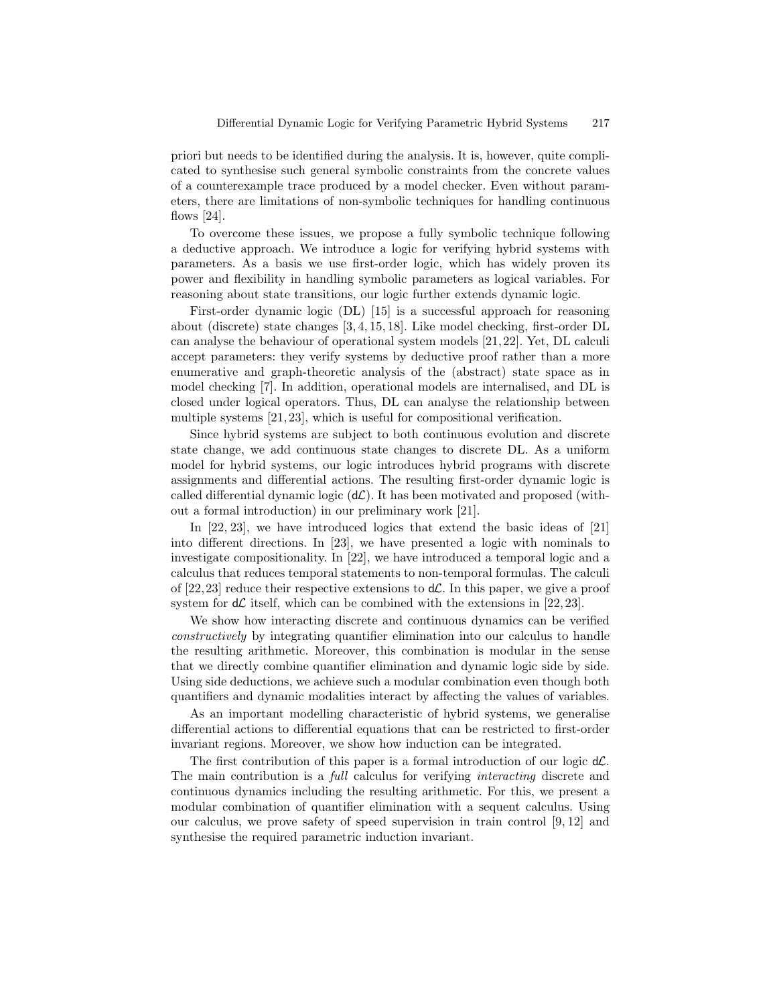priori but needs to be identified during the analysis. It is, however, quite complicated to synthesise such general symbolic constraints from the concrete values of a counterexample trace produced by a model checker. Even without parameters, there are limitations of non-symbolic techniques for handling continuous flows  $[24]$ .

To overcome these issues, we propose a fully symbolic technique following a deductive approach. We introduce a logic for verifying hybrid systems with parameters. As a basis we use first-order logic, which has widely proven its power and flexibility in handling symbolic parameters as logical variables. For reasoning about state transitions, our logic further extends dynamic logic.

First-order dynamic logic (DL) [15] is a successful approach for reasoning about (discrete) state changes [3, 4, 15, 18]. Like model checking, first-order DL can analyse the behaviour of operational system models [21, 22]. Yet, DL calculi accept parameters: they verify systems by deductive proof rather than a more enumerative and graph-theoretic analysis of the (abstract) state space as in model checking [7]. In addition, operational models are internalised, and DL is closed under logical operators. Thus, DL can analyse the relationship between multiple systems [21, 23], which is useful for compositional verification.

Since hybrid systems are subject to both continuous evolution and discrete state change, we add continuous state changes to discrete DL. As a uniform model for hybrid systems, our logic introduces hybrid programs with discrete assignments and differential actions. The resulting first-order dynamic logic is called differential dynamic logic  $(d\mathcal{L})$ . It has been motivated and proposed (without a formal introduction) in our preliminary work [21].

In [22, 23], we have introduced logics that extend the basic ideas of [21] into different directions. In [23], we have presented a logic with nominals to investigate compositionality. In [22], we have introduced a temporal logic and a calculus that reduces temporal statements to non-temporal formulas. The calculi of [22,23] reduce their respective extensions to  $d\mathcal{L}$ . In this paper, we give a proof system for  $d\mathcal{L}$  itself, which can be combined with the extensions in [22, 23].

We show how interacting discrete and continuous dynamics can be verified constructively by integrating quantifier elimination into our calculus to handle the resulting arithmetic. Moreover, this combination is modular in the sense that we directly combine quantifier elimination and dynamic logic side by side. Using side deductions, we achieve such a modular combination even though both quantifiers and dynamic modalities interact by affecting the values of variables.

As an important modelling characteristic of hybrid systems, we generalise differential actions to differential equations that can be restricted to first-order invariant regions. Moreover, we show how induction can be integrated.

The first contribution of this paper is a formal introduction of our logic  $d\mathcal{L}$ . The main contribution is a full calculus for verifying interacting discrete and continuous dynamics including the resulting arithmetic. For this, we present a modular combination of quantifier elimination with a sequent calculus. Using our calculus, we prove safety of speed supervision in train control [9, 12] and synthesise the required parametric induction invariant.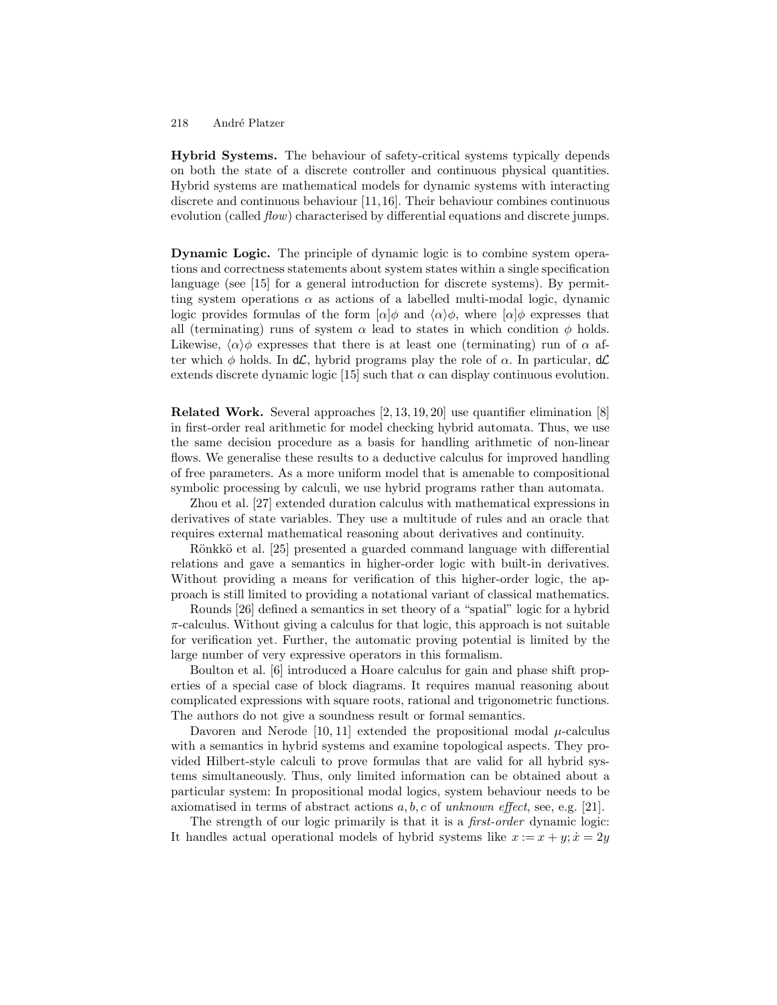Hybrid Systems. The behaviour of safety-critical systems typically depends on both the state of a discrete controller and continuous physical quantities. Hybrid systems are mathematical models for dynamic systems with interacting discrete and continuous behaviour [11,16]. Their behaviour combines continuous evolution (called  $flow$ ) characterised by differential equations and discrete jumps.

Dynamic Logic. The principle of dynamic logic is to combine system operations and correctness statements about system states within a single specification language (see [15] for a general introduction for discrete systems). By permitting system operations  $\alpha$  as actions of a labelled multi-modal logic, dynamic logic provides formulas of the form  $\alpha|\phi$  and  $\langle \alpha \rangle \phi$ , where  $\alpha|\phi$  expresses that all (terminating) runs of system  $\alpha$  lead to states in which condition  $\phi$  holds. Likewise,  $\langle \alpha \rangle \phi$  expresses that there is at least one (terminating) run of  $\alpha$  after which  $\phi$  holds. In d $\mathcal{L}$ , hybrid programs play the role of  $\alpha$ . In particular, d $\mathcal{L}$ extends discrete dynamic logic [15] such that  $\alpha$  can display continuous evolution.

Related Work. Several approaches [2, 13, 19, 20] use quantifier elimination [8] in first-order real arithmetic for model checking hybrid automata. Thus, we use the same decision procedure as a basis for handling arithmetic of non-linear flows. We generalise these results to a deductive calculus for improved handling of free parameters. As a more uniform model that is amenable to compositional symbolic processing by calculi, we use hybrid programs rather than automata.

Zhou et al. [27] extended duration calculus with mathematical expressions in derivatives of state variables. They use a multitude of rules and an oracle that requires external mathematical reasoning about derivatives and continuity.

Rönkkö et al. [25] presented a guarded command language with differential relations and gave a semantics in higher-order logic with built-in derivatives. Without providing a means for verification of this higher-order logic, the approach is still limited to providing a notational variant of classical mathematics.

Rounds [26] defined a semantics in set theory of a "spatial" logic for a hybrid  $\pi$ -calculus. Without giving a calculus for that logic, this approach is not suitable for verification yet. Further, the automatic proving potential is limited by the large number of very expressive operators in this formalism.

Boulton et al. [6] introduced a Hoare calculus for gain and phase shift properties of a special case of block diagrams. It requires manual reasoning about complicated expressions with square roots, rational and trigonometric functions. The authors do not give a soundness result or formal semantics.

Davoren and Nerode [10, 11] extended the propositional modal  $\mu$ -calculus with a semantics in hybrid systems and examine topological aspects. They provided Hilbert-style calculi to prove formulas that are valid for all hybrid systems simultaneously. Thus, only limited information can be obtained about a particular system: In propositional modal logics, system behaviour needs to be axiomatised in terms of abstract actions  $a, b, c$  of unknown effect, see, e.g. [21].

The strength of our logic primarily is that it is a *first-order* dynamic logic: It handles actual operational models of hybrid systems like  $x := x + y$ ;  $\dot{x} = 2y$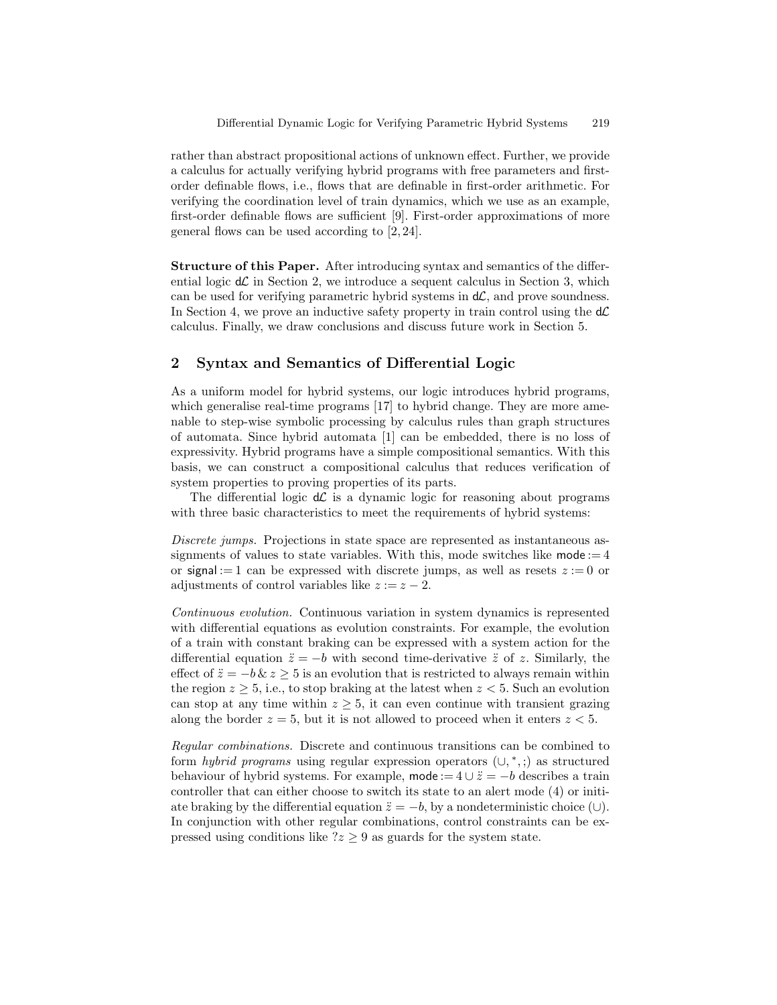rather than abstract propositional actions of unknown effect. Further, we provide a calculus for actually verifying hybrid programs with free parameters and firstorder definable flows, i.e., flows that are definable in first-order arithmetic. For verifying the coordination level of train dynamics, which we use as an example, first-order definable flows are sufficient [9]. First-order approximations of more general flows can be used according to [2, 24].

Structure of this Paper. After introducing syntax and semantics of the differential logic  $d\mathcal{L}$  in Section 2, we introduce a sequent calculus in Section 3, which can be used for verifying parametric hybrid systems in  $d\mathcal{L}$ , and prove soundness. In Section 4, we prove an inductive safety property in train control using the  $d\mathcal{L}$ calculus. Finally, we draw conclusions and discuss future work in Section 5.

# 2 Syntax and Semantics of Differential Logic

As a uniform model for hybrid systems, our logic introduces hybrid programs, which generalise real-time programs [17] to hybrid change. They are more amenable to step-wise symbolic processing by calculus rules than graph structures of automata. Since hybrid automata [1] can be embedded, there is no loss of expressivity. Hybrid programs have a simple compositional semantics. With this basis, we can construct a compositional calculus that reduces verification of system properties to proving properties of its parts.

The differential logic  $d\mathcal{L}$  is a dynamic logic for reasoning about programs with three basic characteristics to meet the requirements of hybrid systems:

Discrete jumps. Projections in state space are represented as instantaneous assignments of values to state variables. With this, mode switches like mode  $:= 4$ or signal := 1 can be expressed with discrete jumps, as well as resets  $z := 0$  or adjustments of control variables like  $z := z - 2$ .

Continuous evolution. Continuous variation in system dynamics is represented with differential equations as evolution constraints. For example, the evolution of a train with constant braking can be expressed with a system action for the differential equation  $\ddot{z} = -b$  with second time-derivative  $\ddot{z}$  of z. Similarly, the effect of  $\ddot{z} = -b \& z > 5$  is an evolution that is restricted to always remain within the region  $z \geq 5$ , i.e., to stop braking at the latest when  $z < 5$ . Such an evolution can stop at any time within  $z \geq 5$ , it can even continue with transient grazing along the border  $z = 5$ , but it is not allowed to proceed when it enters  $z < 5$ .

Regular combinations. Discrete and continuous transitions can be combined to form *hybrid programs* using regular expression operators  $(\cup, *,:)$  as structured behaviour of hybrid systems. For example, mode :=  $4 \cup \ddot{z} = -b$  describes a train controller that can either choose to switch its state to an alert mode (4) or initiate braking by the differential equation  $\ddot{z} = -b$ , by a nondeterministic choice (∪). In conjunction with other regular combinations, control constraints can be expressed using conditions like  $2z \geq 9$  as guards for the system state.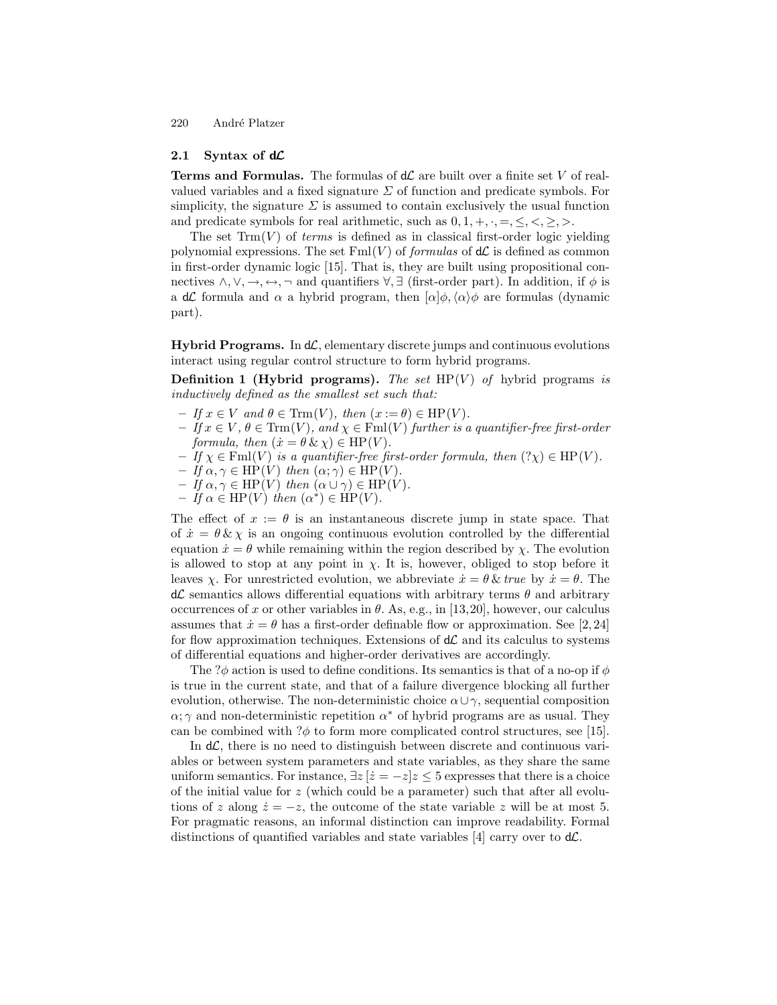#### 2.1 Syntax of  $d\mathcal{L}$

**Terms and Formulas.** The formulas of  $d\mathcal{L}$  are built over a finite set V of realvalued variables and a fixed signature  $\Sigma$  of function and predicate symbols. For simplicity, the signature  $\Sigma$  is assumed to contain exclusively the usual function and predicate symbols for real arithmetic, such as  $0, 1, +, \cdot, =, \leq, \lt, \geq, \gt.$ 

The set  $\text{Trm}(V)$  of *terms* is defined as in classical first-order logic yielding polynomial expressions. The set  $\text{Fml}(V)$  of *formulas* of  $d\mathcal{L}$  is defined as common in first-order dynamic logic [15]. That is, they are built using propositional connectives  $\land, \lor, \rightarrow, \rightarrow, \neg$  and quantifiers  $\forall, \exists$  (first-order part). In addition, if  $\phi$  is a dC formula and  $\alpha$  a hybrid program, then  $\alpha|\phi, \langle \alpha \rangle \phi$  are formulas (dynamic part).

**Hybrid Programs.** In  $d\mathcal{L}$ , elementary discrete jumps and continuous evolutions interact using regular control structure to form hybrid programs.

**Definition 1 (Hybrid programs).** The set  $HP(V)$  of hybrid programs is inductively defined as the smallest set such that:

- $-If \, x \in V \text{ and } \theta \in \text{Trm}(V), \text{ then } (x := \theta) \in \text{HP}(V).$
- $-I f x \in V, \theta \in \text{Trm}(V)$ , and  $\chi \in \text{Fml}(V)$  further is a quantifier-free first-order formula, then  $(\dot{x} = \theta \& \chi) \in HP(V)$ .
- $-If \chi \in \text{Fml}(V)$  is a quantifier-free first-order formula, then  $(?\chi) \in \text{HP}(V)$ .
- $-If \alpha, \gamma \in HP(V)$  then  $(\alpha; \gamma) \in HP(V)$ .
- $-If \alpha, \gamma \in HP(V)$  then  $(\alpha \cup \gamma) \in HP(V)$ .
- $-If \alpha \in \text{HP}(V)$  then  $(\alpha^*) \in \text{HP}(V)$ .

The effect of  $x := \theta$  is an instantaneous discrete jump in state space. That of  $\dot{x} = \theta \& \chi$  is an ongoing continuous evolution controlled by the differential equation  $\dot{x} = \theta$  while remaining within the region described by  $\chi$ . The evolution is allowed to stop at any point in  $\chi$ . It is, however, obliged to stop before it leaves  $\chi$ . For unrestricted evolution, we abbreviate  $\dot{x} = \theta \, \& \, true$  by  $\dot{x} = \theta$ . The  $d\mathcal{L}$  semantics allows differential equations with arbitrary terms  $\theta$  and arbitrary occurrences of x or other variables in  $\theta$ . As, e.g., in [13,20], however, our calculus assumes that  $\dot{x} = \theta$  has a first-order definable flow or approximation. See [2,24] for flow approximation techniques. Extensions of  $d\mathcal{L}$  and its calculus to systems of differential equations and higher-order derivatives are accordingly.

The ? $\phi$  action is used to define conditions. Its semantics is that of a no-op if  $\phi$ is true in the current state, and that of a failure divergence blocking all further evolution, otherwise. The non-deterministic choice  $\alpha \cup \gamma$ , sequential composition  $\alpha$ ;  $\gamma$  and non-deterministic repetition  $\alpha^*$  of hybrid programs are as usual. They can be combined with  $?\phi$  to form more complicated control structures, see [15].

In  $d\mathcal{L}$ , there is no need to distinguish between discrete and continuous variables or between system parameters and state variables, as they share the same uniform semantics. For instance,  $\exists z \, | \, \dot{z} = -z \, | \, z \leq 5$  expresses that there is a choice of the initial value for  $z$  (which could be a parameter) such that after all evolutions of z along  $\dot{z} = -z$ , the outcome of the state variable z will be at most 5. For pragmatic reasons, an informal distinction can improve readability. Formal distinctions of quantified variables and state variables [4] carry over to  $d\mathcal{L}$ .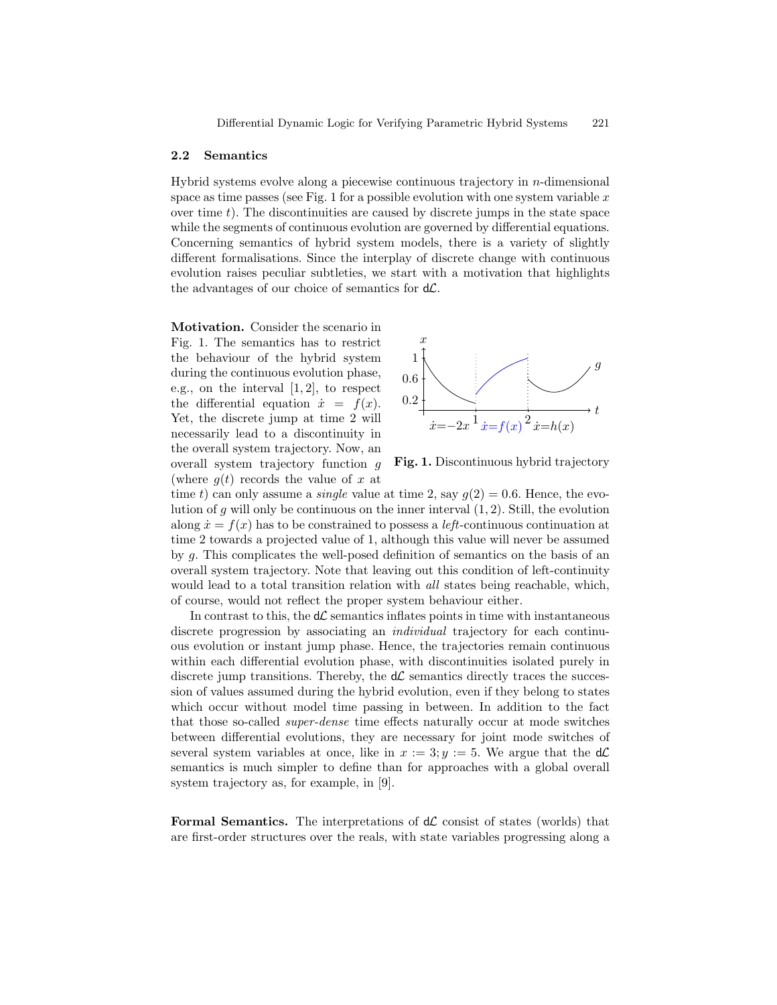#### 2.2 Semantics

Hybrid systems evolve along a piecewise continuous trajectory in  $n$ -dimensional space as time passes (see Fig. 1 for a possible evolution with one system variable  $x$ over time  $t$ ). The discontinuities are caused by discrete jumps in the state space while the segments of continuous evolution are governed by differential equations. Concerning semantics of hybrid system models, there is a variety of slightly different formalisations. Since the interplay of discrete change with continuous evolution raises peculiar subtleties, we start with a motivation that highlights the advantages of our choice of semantics for  $d\mathcal{L}$ .

Motivation. Consider the scenario in Fig. 1. The semantics has to restrict the behaviour of the hybrid system during the continuous evolution phase, e.g., on the interval [1, 2], to respect the differential equation  $\dot{x} = f(x)$ . Yet, the discrete jump at time 2 will necessarily lead to a discontinuity in the overall system trajectory. Now, an overall system trajectory function g (where  $q(t)$  records the value of x at



Fig. 1. Discontinuous hybrid trajectory

time t) can only assume a *single* value at time 2, say  $g(2) = 0.6$ . Hence, the evolution of g will only be continuous on the inner interval  $(1, 2)$ . Still, the evolution along  $\dot{x} = f(x)$  has to be constrained to possess a *left*-continuous continuation at time 2 towards a projected value of 1, although this value will never be assumed by g. This complicates the well-posed definition of semantics on the basis of an overall system trajectory. Note that leaving out this condition of left-continuity would lead to a total transition relation with *all* states being reachable, which, of course, would not reflect the proper system behaviour either.

In contrast to this, the  $d\mathcal{L}$  semantics inflates points in time with instantaneous discrete progression by associating an individual trajectory for each continuous evolution or instant jump phase. Hence, the trajectories remain continuous within each differential evolution phase, with discontinuities isolated purely in discrete jump transitions. Thereby, the  $d\mathcal{L}$  semantics directly traces the succession of values assumed during the hybrid evolution, even if they belong to states which occur without model time passing in between. In addition to the fact that those so-called super-dense time effects naturally occur at mode switches between differential evolutions, they are necessary for joint mode switches of several system variables at once, like in  $x := 3; y := 5$ . We argue that the  $d\mathcal{L}$ semantics is much simpler to define than for approaches with a global overall system trajectory as, for example, in [9].

Formal Semantics. The interpretations of  $d\mathcal{L}$  consist of states (worlds) that are first-order structures over the reals, with state variables progressing along a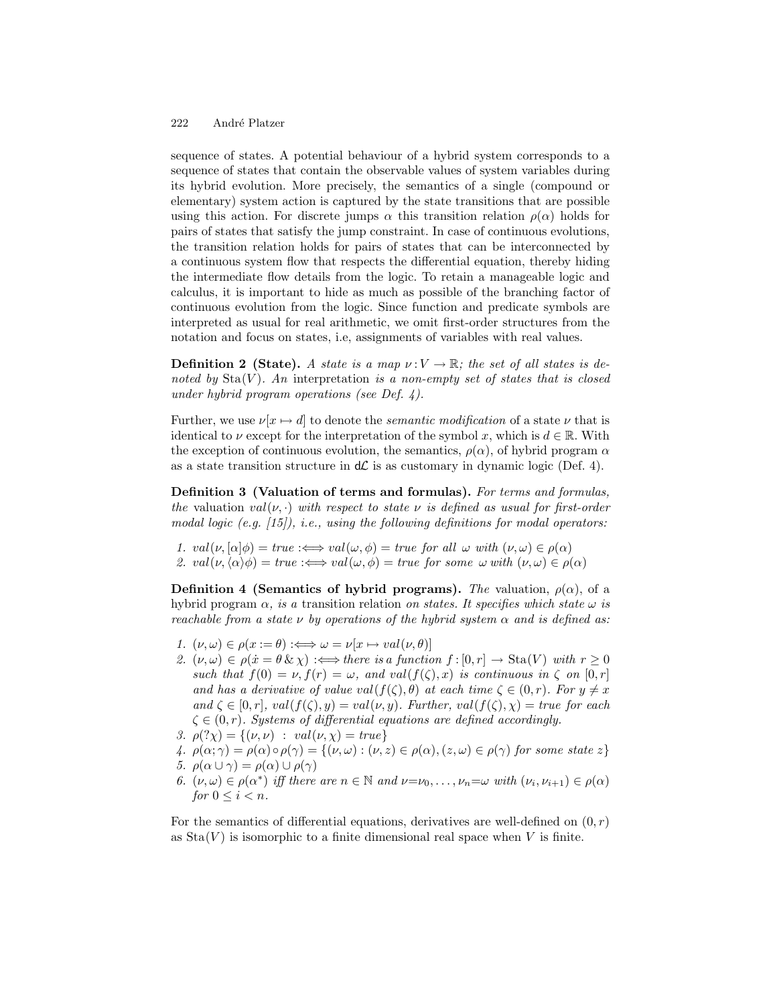sequence of states. A potential behaviour of a hybrid system corresponds to a sequence of states that contain the observable values of system variables during its hybrid evolution. More precisely, the semantics of a single (compound or elementary) system action is captured by the state transitions that are possible using this action. For discrete jumps  $\alpha$  this transition relation  $\rho(\alpha)$  holds for pairs of states that satisfy the jump constraint. In case of continuous evolutions, the transition relation holds for pairs of states that can be interconnected by a continuous system flow that respects the differential equation, thereby hiding the intermediate flow details from the logic. To retain a manageable logic and calculus, it is important to hide as much as possible of the branching factor of continuous evolution from the logic. Since function and predicate symbols are interpreted as usual for real arithmetic, we omit first-order structures from the notation and focus on states, i.e, assignments of variables with real values.

**Definition 2 (State).** A state is a map  $\nu: V \to \mathbb{R}$ ; the set of all states is denoted by  $\text{Sta}(V)$ . An interpretation is a non-empty set of states that is closed under hybrid program operations (see Def. 4).

Further, we use  $\nu[x \mapsto d]$  to denote the *semantic modification* of a state  $\nu$  that is identical to  $\nu$  except for the interpretation of the symbol x, which is  $d \in \mathbb{R}$ . With the exception of continuous evolution, the semantics,  $\rho(\alpha)$ , of hybrid program  $\alpha$ as a state transition structure in  $d\mathcal{L}$  is as customary in dynamic logic (Def. 4).

Definition 3 (Valuation of terms and formulas). For terms and formulas, the valuation val $(\nu, \cdot)$  with respect to state  $\nu$  is defined as usual for first-order modal logic (e.g.  $[15]$ ), i.e., using the following definitions for modal operators:

1.  $val(\nu, [\alpha]\phi) = true :\iff val(\omega, \phi) = true$  for all  $\omega$  with  $(\nu, \omega) \in \rho(\alpha)$ 

2. val $(\nu,\langle\alpha\rangle\phi) = true :\iff val(\omega,\phi) = true$  for some  $\omega$  with  $(\nu,\omega) \in \rho(\alpha)$ 

Definition 4 (Semantics of hybrid programs). The valuation,  $\rho(\alpha)$ , of a hybrid program  $\alpha$ , is a transition relation on states. It specifies which state  $\omega$  is reachable from a state  $\nu$  by operations of the hybrid system  $\alpha$  and is defined as:

- 1.  $(\nu, \omega) \in \rho(x := \theta) : \Longleftrightarrow \omega = \nu[x \mapsto val(\nu, \theta)]$
- 2.  $(\nu, \omega) \in \rho(\dot{x} = \theta \& \chi) : \Longleftrightarrow$  there is a function  $f : [0, r] \to \text{Sta}(V)$  with  $r \geq 0$ such that  $f(0) = \nu, f(r) = \omega$ , and val $(f(\zeta), x)$  is continuous in  $\zeta$  on  $[0, r]$ and has a derivative of value val $(f(\zeta), \theta)$  at each time  $\zeta \in (0, r)$ . For  $y \neq x$ and  $\zeta \in [0, r]$ ,  $val(f(\zeta), y) = val(\nu, y)$ . Further,  $val(f(\zeta), \chi) = true$  for each  $\zeta \in (0, r)$ . Systems of differential equations are defined accordingly.
- 3.  $\rho$  $(\gamma \chi) = \{ (\nu, \nu) : val(\nu, \chi) = true \}$
- 4.  $\rho(\alpha;\gamma) = \rho(\alpha) \circ \rho(\gamma) = \{(\nu,\omega) : (\nu,z) \in \rho(\alpha), (z,\omega) \in \rho(\gamma) \text{ for some state } z\}$ 5.  $\rho(\alpha \cup \gamma) = \rho(\alpha) \cup \rho(\gamma)$
- 
- 6.  $(\nu, \omega) \in \rho(\alpha^*)$  iff there are  $n \in \mathbb{N}$  and  $\nu = \nu_0, \ldots, \nu_n = \omega$  with  $(\nu_i, \nu_{i+1}) \in \rho(\alpha)$ for  $0 \leq i < n$ .

For the semantics of differential equations, derivatives are well-defined on  $(0, r)$ as  $\text{Sta}(V)$  is isomorphic to a finite dimensional real space when V is finite.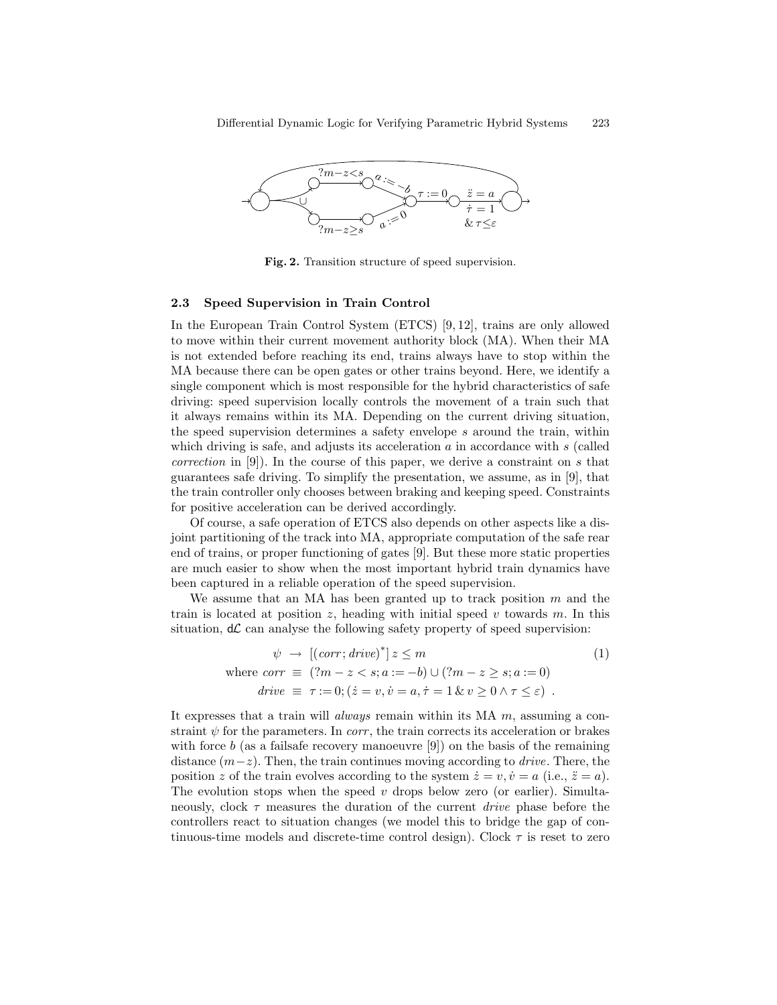

Fig. 2. Transition structure of speed supervision.

#### 2.3 Speed Supervision in Train Control

In the European Train Control System (ETCS) [9, 12], trains are only allowed to move within their current movement authority block (MA). When their MA is not extended before reaching its end, trains always have to stop within the MA because there can be open gates or other trains beyond. Here, we identify a single component which is most responsible for the hybrid characteristics of safe driving: speed supervision locally controls the movement of a train such that it always remains within its MA. Depending on the current driving situation, the speed supervision determines a safety envelope  $s$  around the train, within which driving is safe, and adjusts its acceleration  $a$  in accordance with  $s$  (called *correction* in [9]). In the course of this paper, we derive a constraint on s that guarantees safe driving. To simplify the presentation, we assume, as in [9], that the train controller only chooses between braking and keeping speed. Constraints for positive acceleration can be derived accordingly.

Of course, a safe operation of ETCS also depends on other aspects like a disjoint partitioning of the track into MA, appropriate computation of the safe rear end of trains, or proper functioning of gates [9]. But these more static properties are much easier to show when the most important hybrid train dynamics have been captured in a reliable operation of the speed supervision.

We assume that an MA has been granted up to track position  $m$  and the train is located at position z, heading with initial speed v towards m. In this situation,  $d\mathcal{L}$  can analyse the following safety property of speed supervision:

$$
\psi \to [(\text{corr}; \text{drive})^*] \ z \le m \tag{1}
$$
\n
$$
\text{where } \text{corr} \equiv (?m - z < s; a := -b) \cup (?m - z \ge s; a := 0)
$$
\n
$$
\text{drive} \equiv \tau := 0; (\dot{z} = v, \dot{v} = a, \dot{\tau} = 1 \ \& v \ge 0 \ \land \tau \le \varepsilon) \ .
$$

It expresses that a train will *always* remain within its  $MA \, m$ , assuming a constraint  $\psi$  for the parameters. In *corr*, the train corrects its acceleration or brakes with force b (as a failsafe recovery manoeuvre  $[9]$ ) on the basis of the remaining distance  $(m-z)$ . Then, the train continues moving according to *drive*. There, the position z of the train evolves according to the system  $\dot{z} = v, \dot{v} = a$  (i.e.,  $\ddot{z} = a$ ). The evolution stops when the speed  $v$  drops below zero (or earlier). Simultaneously, clock  $\tau$  measures the duration of the current *drive* phase before the controllers react to situation changes (we model this to bridge the gap of continuous-time models and discrete-time control design). Clock  $\tau$  is reset to zero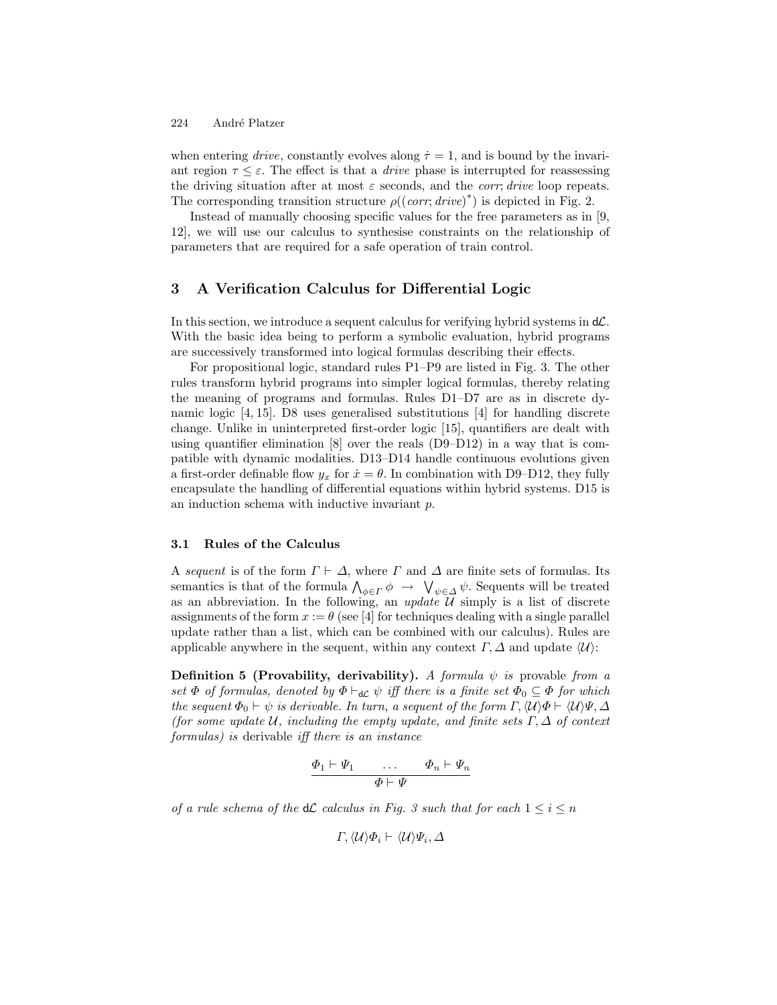when entering drive, constantly evolves along  $\dot{\tau} = 1$ , and is bound by the invariant region  $\tau \leq \varepsilon$ . The effect is that a *drive* phase is interrupted for reassessing the driving situation after at most  $\varepsilon$  seconds, and the *corr*; drive loop repeats. The corresponding transition structure  $\rho((corr, drive)^*)$  is depicted in Fig. 2.

Instead of manually choosing specific values for the free parameters as in [9, 12], we will use our calculus to synthesise constraints on the relationship of parameters that are required for a safe operation of train control.

## 3 A Verification Calculus for Differential Logic

In this section, we introduce a sequent calculus for verifying hybrid systems in  $d\mathcal{L}$ . With the basic idea being to perform a symbolic evaluation, hybrid programs are successively transformed into logical formulas describing their effects.

For propositional logic, standard rules P1–P9 are listed in Fig. 3. The other rules transform hybrid programs into simpler logical formulas, thereby relating the meaning of programs and formulas. Rules D1–D7 are as in discrete dynamic logic [4, 15]. D8 uses generalised substitutions [4] for handling discrete change. Unlike in uninterpreted first-order logic [15], quantifiers are dealt with using quantifier elimination  $[8]$  over the reals  $(D9-D12)$  in a way that is compatible with dynamic modalities. D13–D14 handle continuous evolutions given a first-order definable flow  $y_x$  for  $\dot{x} = \theta$ . In combination with D9–D12, they fully encapsulate the handling of differential equations within hybrid systems. D15 is an induction schema with inductive invariant p.

#### 3.1 Rules of the Calculus

A sequent is of the form  $\Gamma \vdash \Delta$ , where  $\Gamma$  and  $\Delta$  are finite sets of formulas. Its semantics is that of the formula  $\bigwedge_{\phi \in \Gamma} \phi \to \bigvee_{\psi \in \Delta} \psi$ . Sequents will be treated as an abbreviation. In the following, an update  $\overline{\mathcal{U}}$  simply is a list of discrete assignments of the form  $x := \theta$  (see [4] for techniques dealing with a single parallel update rather than a list, which can be combined with our calculus). Rules are applicable anywhere in the sequent, within any context  $\Gamma$ ,  $\Delta$  and update  $\langle \mathcal{U} \rangle$ :

**Definition 5 (Provability, derivability).** A formula  $\psi$  is provable from a set  $\Phi$  of formulas, denoted by  $\Phi \vdash_{d\mathcal{L}} \psi$  iff there is a finite set  $\Phi_0 \subseteq \Phi$  for which the sequent  $\Phi_0 \vdash \psi$  is derivable. In turn, a sequent of the form  $\Gamma$ ,  $\langle \mathcal{U} \rangle \Phi \vdash \langle \mathcal{U} \rangle \Psi$ ,  $\Delta$ (for some update U, including the empty update, and finite sets  $\Gamma, \Delta$  of context formulas) is derivable iff there is an instance

$$
\begin{array}{ccc}\n\Phi_1 \vdash \Psi_1 & \dots & \Phi_n \vdash \Psi_n \\
\hline\n\Phi \vdash \Psi\n\end{array}
$$

of a rule schema of the  $d\mathcal{L}$  calculus in Fig. 3 such that for each  $1 \leq i \leq n$ 

$$
\Gamma,\langle\mathcal{U}\rangle\varPhi_i\vdash \langle\mathcal{U}\rangle\varPsi_i,\varDelta
$$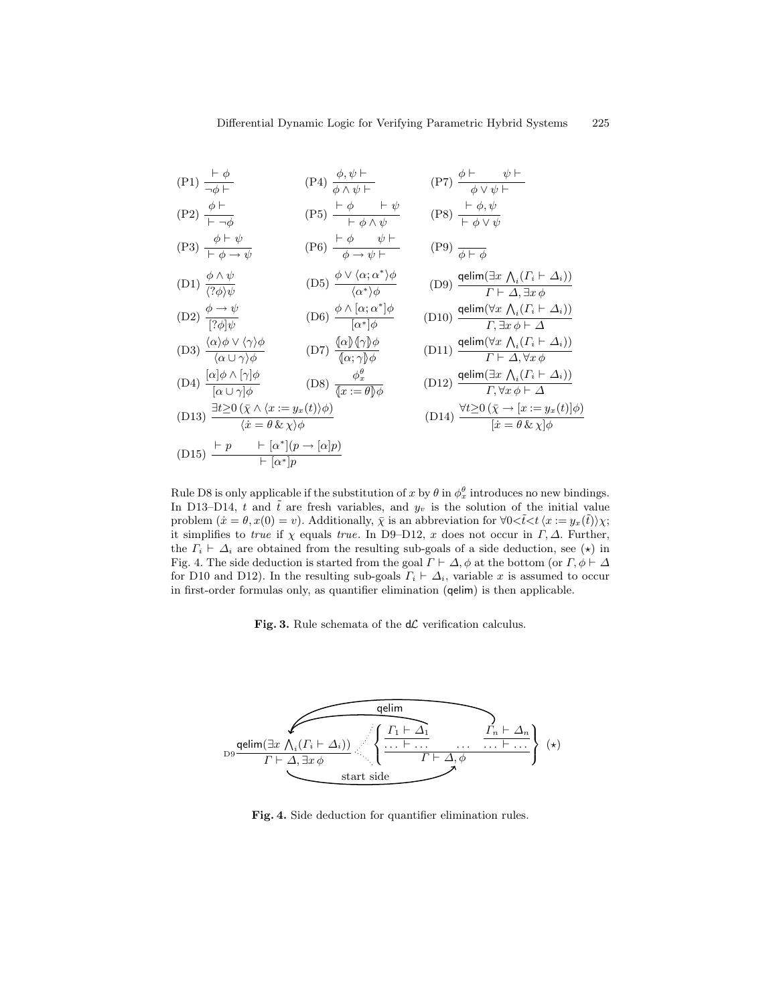$$
(P1) \frac{\vdash \phi}{\neg \phi \vdash} \qquad (P4) \frac{\phi, \psi \vdash}{\phi \land \psi \vdash} \qquad (P7) \frac{\phi \vdash \psi \vdash}{\phi \lor \psi \vdash}
$$
\n
$$
(P2) \frac{\phi \vdash}{\vdash} \qquad (P5) \frac{\vdash \phi \qquad \vdash \psi}{\vdash \neg \vdash \neg \vdash \psi} \qquad (P8) \frac{\vdash \phi, \psi}{\vdash \vdash \psi, \psi}
$$

$$
\begin{array}{ccc}\n\text{(P3)} & \begin{array}{l}\n\phi + \psi \\
\hline\n\phi + \psi \\
\hline\n\phi + \psi\n\end{array} \\
\text{(P6)} & \begin{array}{l}\n\phi + \psi \\
\hline\n\phi + \psi + \psi\n\end{array} \\
\hline\n\phi + \psi + \psi\n\end{array} \\
\text{(P9)} & \begin{array}{l}\n\phi + \psi \\
\hline\n\phi + \psi\n\end{array}\n\end{array}
$$

(D1) 
$$
\frac{\phi \land \psi}{\langle ?\phi \rangle \psi}
$$
 (D5)  $\frac{\phi \lor \langle \alpha; \alpha^* \rangle \phi}{\langle \alpha^* \rangle \phi}$  (D9)  $\frac{\text{qelim}(\exists x \land_i (T_i \vdash \Delta_i))}{\Gamma \vdash \Delta, \exists x \phi}$ 

(D2) 
$$
\frac{\phi \to \psi}{[?\phi]\psi}
$$
 (D6)  $\frac{\phi \land [\alpha; \alpha^*] \phi}{[\alpha^*] \phi}$  (D10)  $\frac{\text{gelim}(\forall x \land_i (\Gamma_i \vdash \Delta_i))}{\Gamma, \exists x \phi \vdash \Delta}$ 

(D3) 
$$
\frac{\langle \alpha \rangle \phi \vee \langle \gamma \rangle \phi}{\langle \alpha \cup \gamma \rangle \phi}
$$
 (D7)  $\frac{\langle \alpha \rangle \langle \gamma \rangle \phi}{\langle \alpha; \gamma \rangle \phi}$  (D11)  $\frac{\text{qelim}(\forall x \Lambda_i (\Gamma_i \vdash \Delta_i))}{\Gamma \vdash \Delta, \forall x \phi}$ 

(D4) 
$$
\frac{[\alpha]\phi \wedge [\gamma]\phi}{[\alpha \cup \gamma]\phi}
$$
 (D8)  $\frac{\phi_x^{\theta}}{\{x := \theta\}\phi}$  (D12)  $\frac{\text{qelim}(\exists x \wedge_i (\Gamma_i \vdash \Delta_i))}{\Gamma, \forall x \phi \vdash \Delta}$   
\n(D13)  $\frac{\exists t \ge 0 \ (\bar{\chi} \wedge \langle x := y_x(t) \rangle \phi)}{\langle x \rangle \phi \rangle}$  (D14)  $\frac{\text{qelim}(\exists x \wedge_i (\Gamma_i \vdash \Delta_i))}{\Gamma, \forall x \phi \vdash \Delta}$ 

(D13) 
$$
\frac{3v \leq 0 \left(\chi \wedge \sqrt{x} \cdot \frac{3v - 9x(v)/\varphi}{2}\right)}{\langle \dot{x} = \theta \& \chi \rangle \phi}
$$
 (D14)

$$
(D15) \frac{\vdash p \qquad \vdash [\alpha^*](p \rightarrow [\alpha]p)}{\vdash [\alpha^*]p}
$$

$$
\Gamma, \exists x \phi \vdash \Delta
$$
\n(D11) 
$$
\frac{\text{qelim}(\forall x \land_i (\Gamma_i \vdash \Delta_i))}{\Gamma \vdash \Delta, \forall x \phi}
$$
\n(D12) 
$$
\frac{\text{qelim}(\exists x \land_i (\Gamma_i \vdash \Delta_i))}{\Gamma, \forall x \phi \vdash \Delta}
$$
\n(D14) 
$$
\frac{\forall t \ge 0 \ (\bar{x} \rightarrow [x := y_x(t)] \phi)}{[x = \theta \& \chi] \phi}
$$

Rule D8 is only applicable if the substitution of x by  $\theta$  in  $\phi_x^{\theta}$  introduces no new bindings. In D13–D14, t and  $\tilde{t}$  are fresh variables, and  $y_v$  is the solution of the initial value problem  $(\dot{x} = \theta, x(0) = v)$ . Additionally,  $\overline{\chi}$  is an abbreviation for  $\forall 0 < \tilde{t} < t \langle x := y_x(\tilde{t}) \rangle \chi;$ it simplifies to true if  $\chi$  equals true. In D9–D12, x does not occur in  $\Gamma$ ,  $\Delta$ . Further, the  $\Gamma_i \vdash \Delta_i$  are obtained from the resulting sub-goals of a side deduction, see ( $\star$ ) in Fig. 4. The side deduction is started from the goal  $\Gamma \vdash \Delta$ ,  $\phi$  at the bottom (or  $\Gamma$ ,  $\phi \vdash \Delta$ for D10 and D12). In the resulting sub-goals  $\Gamma_i \vdash \Delta_i$ , variable x is assumed to occur in first-order formulas only, as quantifier elimination (qelim) is then applicable.

Fig. 3. Rule schemata of the  $d\mathcal{L}$  verification calculus.



Fig. 4. Side deduction for quantifier elimination rules.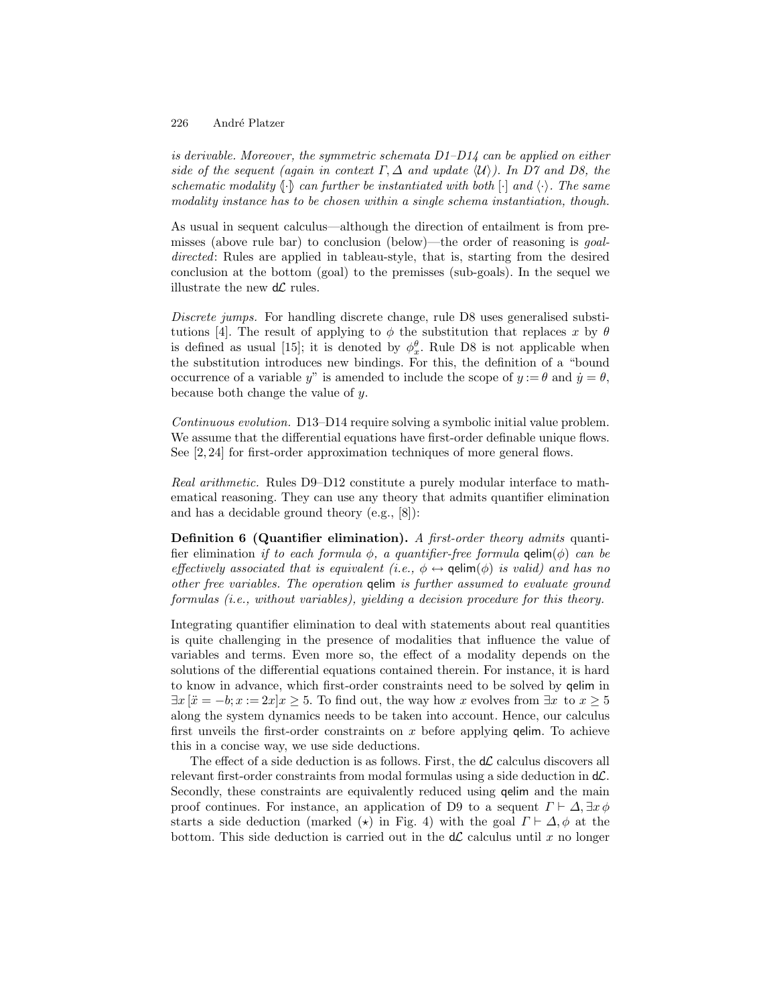is derivable. Moreover, the symmetric schemata  $D1-D14$  can be applied on either side of the sequent (again in context  $\Gamma$ ,  $\Delta$  and update  $\langle \mathcal{U} \rangle$ ). In D7 and D8, the schematic modality  $\{\cdot\}$  can further be instantiated with both  $[\cdot]$  and  $\langle \cdot \rangle$ . The same modality instance has to be chosen within a single schema instantiation, though.

As usual in sequent calculus—although the direction of entailment is from premisses (above rule bar) to conclusion (below)—the order of reasoning is goaldirected: Rules are applied in tableau-style, that is, starting from the desired conclusion at the bottom (goal) to the premisses (sub-goals). In the sequel we illustrate the new  $d\mathcal{L}$  rules.

Discrete jumps. For handling discrete change, rule D8 uses generalised substitutions [4]. The result of applying to  $\phi$  the substitution that replaces x by  $\theta$ is defined as usual [15]; it is denoted by  $\phi_x^{\theta}$ . Rule D8 is not applicable when the substitution introduces new bindings. For this, the definition of a "bound occurrence of a variable y" is amended to include the scope of  $y := \theta$  and  $\dot{y} = \theta$ , because both change the value of y.

Continuous evolution. D13–D14 require solving a symbolic initial value problem. We assume that the differential equations have first-order definable unique flows. See [2, 24] for first-order approximation techniques of more general flows.

Real arithmetic. Rules D9–D12 constitute a purely modular interface to mathematical reasoning. They can use any theory that admits quantifier elimination and has a decidable ground theory (e.g., [8]):

Definition 6 (Quantifier elimination). A first-order theory admits quantifier elimination if to each formula  $\phi$ , a quantifier-free formula qelim( $\phi$ ) can be effectively associated that is equivalent (i.e.,  $\phi \leftrightarrow$  qelim( $\phi$ ) is valid) and has no other free variables. The operation qelim is further assumed to evaluate ground formulas (i.e., without variables), yielding a decision procedure for this theory.

Integrating quantifier elimination to deal with statements about real quantities is quite challenging in the presence of modalities that influence the value of variables and terms. Even more so, the effect of a modality depends on the solutions of the differential equations contained therein. For instance, it is hard to know in advance, which first-order constraints need to be solved by qelim in  $\exists x \left[ \ddot{x} = -b; x := 2x \right]$   $\geq 5$ . To find out, the way how x evolves from  $\exists x \text{ to } x \geq 5$ along the system dynamics needs to be taken into account. Hence, our calculus first unveils the first-order constraints on  $x$  before applying **qelim**. To achieve this in a concise way, we use side deductions.

The effect of a side deduction is as follows. First, the  $d\mathcal{L}$  calculus discovers all relevant first-order constraints from modal formulas using a side deduction in  $d\mathcal{L}$ . Secondly, these constraints are equivalently reduced using qelim and the main proof continues. For instance, an application of D9 to a sequent  $\Gamma \vdash \Delta, \exists x \phi$ starts a side deduction (marked  $(\star)$  in Fig. 4) with the goal  $\Gamma \vdash \Delta, \phi$  at the bottom. This side deduction is carried out in the  $d\mathcal{L}$  calculus until x no longer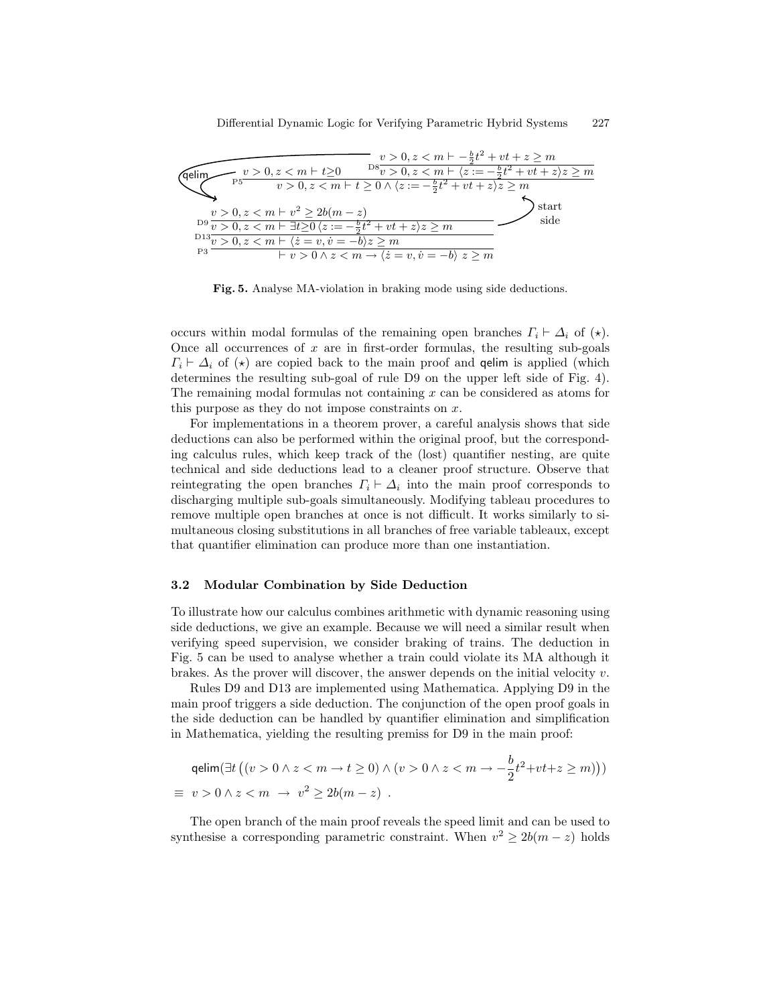

Fig. 5. Analyse MA-violation in braking mode using side deductions.

occurs within modal formulas of the remaining open branches  $\Gamma_i \vdash \Delta_i$  of  $(\star)$ . Once all occurrences of  $x$  are in first-order formulas, the resulting sub-goals  $\Gamma_i \vdash \Delta_i$  of  $(\star)$  are copied back to the main proof and **qelim** is applied (which determines the resulting sub-goal of rule D9 on the upper left side of Fig. 4). The remaining modal formulas not containing  $x$  can be considered as atoms for this purpose as they do not impose constraints on  $x$ .

For implementations in a theorem prover, a careful analysis shows that side deductions can also be performed within the original proof, but the corresponding calculus rules, which keep track of the (lost) quantifier nesting, are quite technical and side deductions lead to a cleaner proof structure. Observe that reintegrating the open branches  $\Gamma_i \vdash \Delta_i$  into the main proof corresponds to discharging multiple sub-goals simultaneously. Modifying tableau procedures to remove multiple open branches at once is not difficult. It works similarly to simultaneous closing substitutions in all branches of free variable tableaux, except that quantifier elimination can produce more than one instantiation.

#### 3.2 Modular Combination by Side Deduction

To illustrate how our calculus combines arithmetic with dynamic reasoning using side deductions, we give an example. Because we will need a similar result when verifying speed supervision, we consider braking of trains. The deduction in Fig. 5 can be used to analyse whether a train could violate its MA although it brakes. As the prover will discover, the answer depends on the initial velocity  $v$ .

Rules D9 and D13 are implemented using Mathematica. Applying D9 in the main proof triggers a side deduction. The conjunction of the open proof goals in the side deduction can be handled by quantifier elimination and simplification in Mathematica, yielding the resulting premiss for D9 in the main proof:

$$
\begin{aligned}\n\text{qelim}(\exists t \left( (v > 0 \land z < m \to t \ge 0) \land (v > 0 \land z < m \to -\frac{b}{2} t^2 + vt + z \ge m) \right)) \\
&\equiv v > 0 \land z < m \to v^2 \ge 2b(m - z)\n\end{aligned}
$$

The open branch of the main proof reveals the speed limit and can be used to synthesise a corresponding parametric constraint. When  $v^2 \ge 2b(m-z)$  holds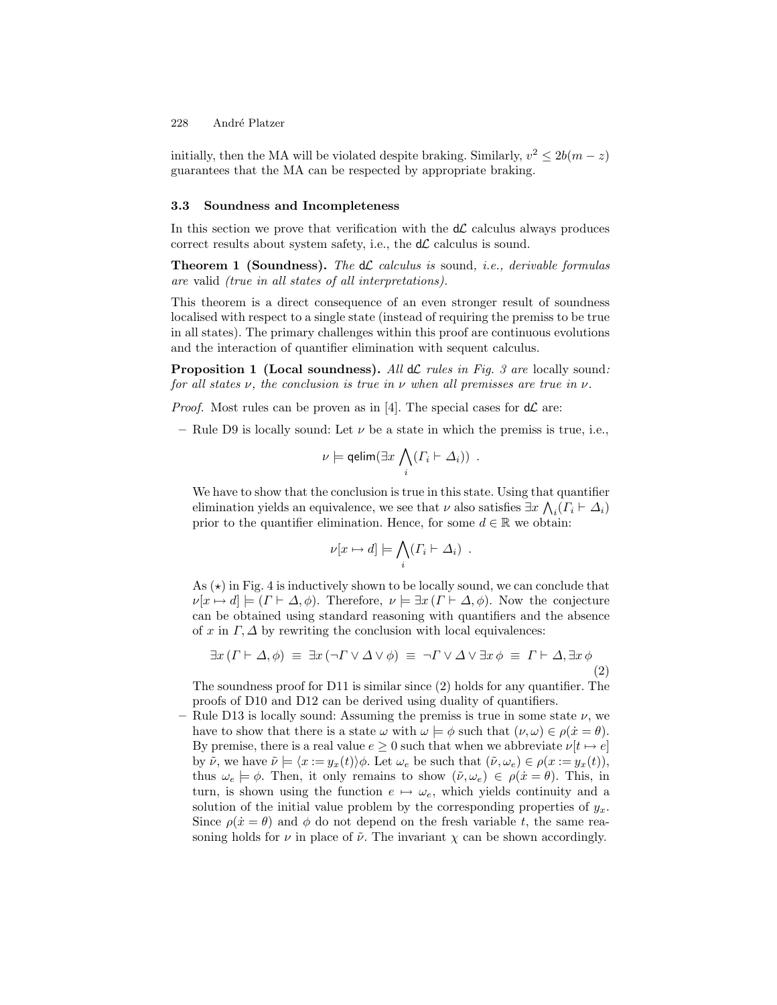initially, then the MA will be violated despite braking. Similarly,  $v^2 \le 2b(m - z)$ guarantees that the MA can be respected by appropriate braking.

#### 3.3 Soundness and Incompleteness

In this section we prove that verification with the  $d\mathcal{L}$  calculus always produces correct results about system safety, i.e., the  $d\mathcal{L}$  calculus is sound.

**Theorem 1 (Soundness).** The  $d\mathcal{L}$  calculus is sound, i.e., derivable formulas are valid (true in all states of all interpretations).

This theorem is a direct consequence of an even stronger result of soundness localised with respect to a single state (instead of requiring the premiss to be true in all states). The primary challenges within this proof are continuous evolutions and the interaction of quantifier elimination with sequent calculus.

**Proposition 1 (Local soundness).** All  $d\mathcal{L}$  rules in Fig. 3 are locally sound: for all states  $\nu$ , the conclusion is true in  $\nu$  when all premisses are true in  $\nu$ .

*Proof.* Most rules can be proven as in [4]. The special cases for  $d\mathcal{L}$  are:

– Rule D9 is locally sound: Let  $\nu$  be a state in which the premiss is true, i.e.,

$$
\nu \models \mathsf{qelim}(\exists x \bigwedge_i (\varGamma_i \vdash \varDelta_i)) \ .
$$

We have to show that the conclusion is true in this state. Using that quantifier elimination yields an equivalence, we see that  $\nu$  also satisfies  $\exists x \bigwedge_i (\Gamma_i \vdash \Delta_i)$ prior to the quantifier elimination. Hence, for some  $d \in \mathbb{R}$  we obtain:

$$
\nu[x \mapsto d] \models \bigwedge_i (\varGamma_i \vdash \varDelta_i) .
$$

As  $(\star)$  in Fig. 4 is inductively shown to be locally sound, we can conclude that  $\nu[x \mapsto d] \models (T \vdash \Delta, \phi)$ . Therefore,  $\nu \models \exists x (T \vdash \Delta, \phi)$ . Now the conjecture can be obtained using standard reasoning with quantifiers and the absence of x in  $\Gamma$ ,  $\Delta$  by rewriting the conclusion with local equivalences:

$$
\exists x \left( \Gamma \vdash \Delta, \phi \right) \equiv \exists x \left( \neg \Gamma \vee \Delta \vee \phi \right) \equiv \neg \Gamma \vee \Delta \vee \exists x \phi \equiv \Gamma \vdash \Delta, \exists x \phi \tag{2}
$$

The soundness proof for D11 is similar since (2) holds for any quantifier. The proofs of D10 and D12 can be derived using duality of quantifiers.

– Rule D13 is locally sound: Assuming the premiss is true in some state  $\nu$ , we have to show that there is a state  $\omega$  with  $\omega \models \phi$  such that  $(\nu, \omega) \in \rho(\dot{x} = \theta)$ . By premise, there is a real value  $e \geq 0$  such that when we abbreviate  $\nu[t \mapsto e]$ by  $\tilde{\nu}$ , we have  $\tilde{\nu} \models \langle x := y_x(t) \rangle \phi$ . Let  $\omega_e$  be such that  $(\tilde{\nu}, \omega_e) \in \rho(x := y_x(t)),$ thus  $\omega_e \models \phi$ . Then, it only remains to show  $(\tilde{\nu}, \omega_e) \in \rho(\dot{x} = \theta)$ . This, in turn, is shown using the function  $e \mapsto \omega_e$ , which yields continuity and a solution of the initial value problem by the corresponding properties of  $y_x$ . Since  $\rho(\dot{x} = \theta)$  and  $\phi$  do not depend on the fresh variable t, the same reasoning holds for  $\nu$  in place of  $\tilde{\nu}$ . The invariant  $\chi$  can be shown accordingly.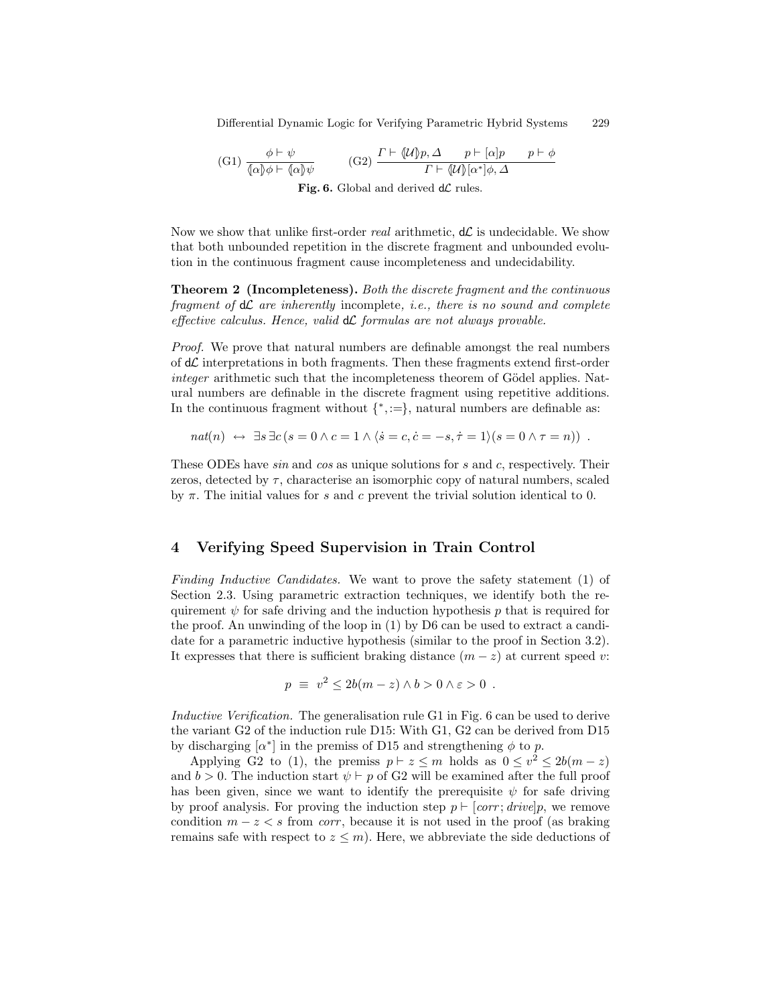Differential Dynamic Logic for Verifying Parametric Hybrid Systems 229

(G1) 
$$
\frac{\phi \vdash \psi}{\{\alpha\}\phi \vdash \{\alpha\}\psi}
$$
 (G2) 
$$
\frac{\Gamma \vdash \{\mathcal{U}\}p, \Delta \qquad p \vdash [\alpha]p \qquad p \vdash \phi}{\Gamma \vdash \{\mathcal{U}\}[\alpha^*]\phi, \Delta}
$$
Fig. 6. Global and derived dC rules.

Now we show that unlike first-order real arithmetic,  $d\mathcal{L}$  is undecidable. We show that both unbounded repetition in the discrete fragment and unbounded evolution in the continuous fragment cause incompleteness and undecidability.

Theorem 2 (Incompleteness). Both the discrete fragment and the continuous fragment of  $d\mathcal{L}$  are inherently incomplete, i.e., there is no sound and complete effective calculus. Hence, valid  $d\mathcal{L}$  formulas are not always provable.

Proof. We prove that natural numbers are definable amongst the real numbers of  $d\mathcal{L}$  interpretations in both fragments. Then these fragments extend first-order integer arithmetic such that the incompleteness theorem of Gödel applies. Natural numbers are definable in the discrete fragment using repetitive additions. In the continuous fragment without  $\{\ast, :=\}$ , natural numbers are definable as:

$$
nat(n) \leftrightarrow \exists s \exists c (s = 0 \land c = 1 \land \langle \dot{s} = c, \dot{c} = -s, \dot{\tau} = 1 \rangle (s = 0 \land \tau = n)) .
$$

These ODEs have *sin* and cos as unique solutions for s and c, respectively. Their zeros, detected by  $\tau$ , characterise an isomorphic copy of natural numbers, scaled by  $\pi$ . The initial values for s and c prevent the trivial solution identical to 0.

## 4 Verifying Speed Supervision in Train Control

Finding Inductive Candidates. We want to prove the safety statement (1) of Section 2.3. Using parametric extraction techniques, we identify both the requirement  $\psi$  for safe driving and the induction hypothesis p that is required for the proof. An unwinding of the loop in (1) by D6 can be used to extract a candidate for a parametric inductive hypothesis (similar to the proof in Section 3.2). It expresses that there is sufficient braking distance  $(m - z)$  at current speed v:

$$
p \equiv v^2 \le 2b(m-z) \wedge b > 0 \wedge \varepsilon > 0 .
$$

Inductive Verification. The generalisation rule G1 in Fig. 6 can be used to derive the variant G2 of the induction rule D15: With G1, G2 can be derived from D15 by discharging  $\alpha^*$  in the premiss of D15 and strengthening  $\phi$  to p.

Applying G2 to (1), the premiss  $p \mid z \leq m$  holds as  $0 \leq v^2 \leq 2b(m-z)$ and  $b > 0$ . The induction start  $\psi \vdash p$  of G2 will be examined after the full proof has been given, since we want to identify the prerequisite  $\psi$  for safe driving by proof analysis. For proving the induction step  $p \vdash [corr; drive]p$ , we remove condition  $m - z < s$  from *corr*, because it is not used in the proof (as braking remains safe with respect to  $z \leq m$ ). Here, we abbreviate the side deductions of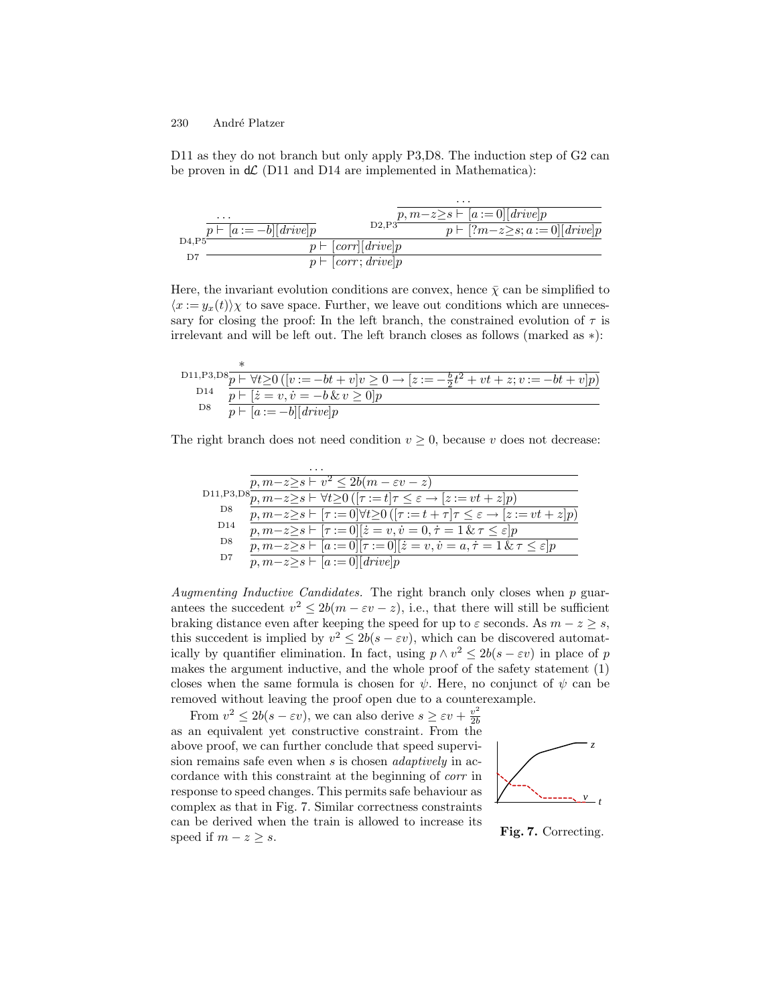D11 as they do not branch but only apply P3,D8. The induction step of G2 can be proven in  $d\mathcal{L}$  (D11 and D14 are implemented in Mathematica):

|       |                             |                           | $\cdots$                                |
|-------|-----------------------------|---------------------------|-----------------------------------------|
|       | $\cdots$                    |                           | $p, m-z \geq s \vdash [a := 0][drive]$  |
|       | $p \vdash [a := -b][drive]$ | D2.P3                     | $p \vdash [?m-z \geq s; a := 0][drive]$ |
| D4.P5 |                             | $p \vdash [corr][drive]p$ |                                         |
| D7    |                             | $p \vdash [corr; drive]p$ |                                         |

Here, the invariant evolution conditions are convex, hence  $\bar{\chi}$  can be simplified to  $\langle x := y_x(t) \rangle \chi$  to save space. Further, we leave out conditions which are unnecessary for closing the proof: In the left branch, the constrained evolution of  $\tau$  is irrelevant and will be left out. The left branch closes as follows (marked as ∗):

|     | D11, P3, D8 $\overline{p}$ + $\forall t \ge 0$ ( $\overline{[v := -bt + v]v \ge 0 \rightarrow [z := -\frac{b}{2}t^2 + vt + z; v := -bt + v]}$ |
|-----|-----------------------------------------------------------------------------------------------------------------------------------------------|
|     | D <sub>14</sub> $\overline{p}$ $\overline{p}$ $\overline{z}$ = $\overline{v}$ , $\overline{v}$ = $-\overline{b}$ & $v \ge 0$   $p$            |
| D8. | $p \vdash [a := -b][drive]$                                                                                                                   |

The right branch does not need condition  $v \geq 0$ , because v does not decrease:

|                 | $\cdots$                                                                                                                                |
|-----------------|-----------------------------------------------------------------------------------------------------------------------------------------|
|                 | $p, m-z \geq s \vdash v^2 \leq 2b(m-\varepsilon v-z)$                                                                                   |
|                 | D11,P3,D8 $\frac{1}{p,m-z\geq s}\mapsto \forall t\geq 0$ ( $[\tau:=t]\tau\leq \varepsilon \rightarrow [z:=vt+z]p$ )                     |
| D8              | $p, m-z \geq s \vdash [\tau := 0] \forall t \geq 0 \left( [\tau := t + \tau] \tau \leq \varepsilon \rightarrow [z := vt + z] p \right)$ |
| D <sub>14</sub> | $p, m-z \geq s \vdash [\tau := 0][\dot{z} = v, \dot{v} = 0, \dot{\tau} = 1 \& \tau \leq \varepsilon]p$                                  |
| D8              | $p, m-z \geq s \vdash [a := 0][\tau := 0][\dot{z} = v, \dot{v} = a, \dot{\tau} = 1 \& \tau \leq \varepsilon]p$                          |
| D7              | $p, m-z \geq s \vdash  a := 0    drive  p$                                                                                              |

Augmenting Inductive Candidates. The right branch only closes when p guarantees the succedent  $v^2 \le 2b(m - \varepsilon v - z)$ , i.e., that there will still be sufficient braking distance even after keeping the speed for up to  $\varepsilon$  seconds. As  $m - z \geq s$ , this succedent is implied by  $v^2 \le 2b(s - \varepsilon v)$ , which can be discovered automatically by quantifier elimination. In fact, using  $p \wedge v^2 \le 2b(s - \varepsilon v)$  in place of p makes the argument inductive, and the whole proof of the safety statement (1) closes when the same formula is chosen for  $\psi$ . Here, no conjunct of  $\psi$  can be removed without leaving the proof open due to a counterexample.

From  $v^2 \le 2b(s - \varepsilon v)$ , we can also derive  $s \ge \varepsilon v + \frac{v^2}{2b}$  $_{2b}$ as an equivalent yet constructive constraint. From the above proof, we can further conclude that speed supervision remains safe even when s is chosen *adaptively* in accordance with this constraint at the beginning of corr in response to speed changes. This permits safe behaviour as complex as that in Fig. 7. Similar correctness constraints can be derived when the train is allowed to increase its speed if  $m - z \geq s$ .



Fig. 7. Correcting.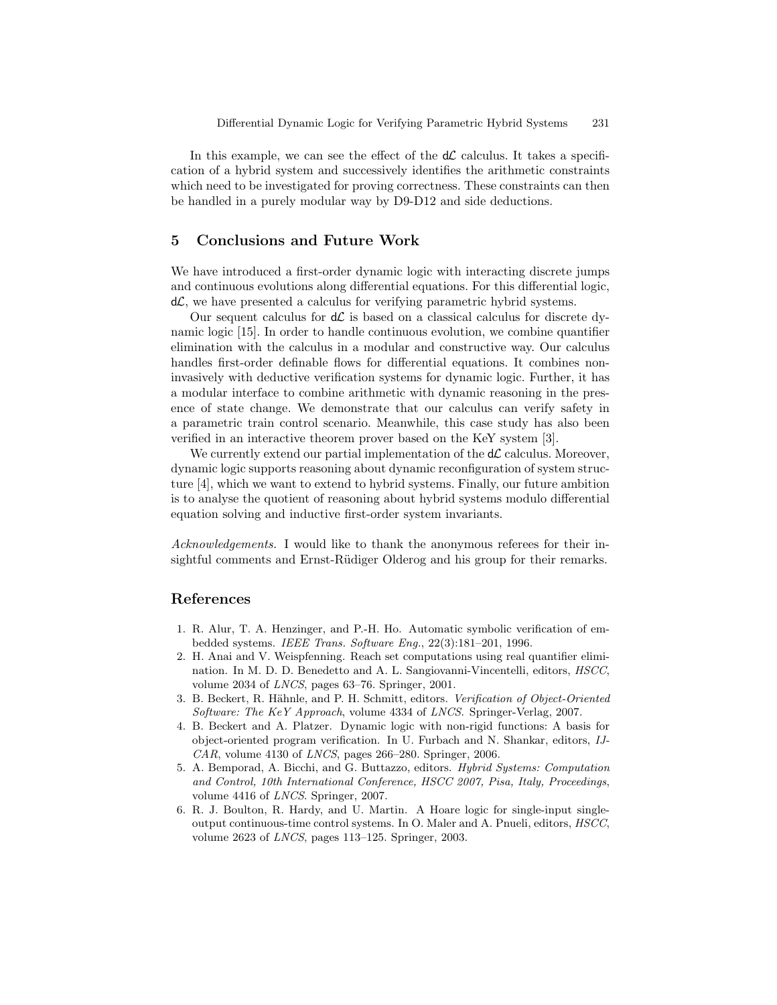In this example, we can see the effect of the  $d\mathcal{L}$  calculus. It takes a specification of a hybrid system and successively identifies the arithmetic constraints which need to be investigated for proving correctness. These constraints can then be handled in a purely modular way by D9-D12 and side deductions.

# 5 Conclusions and Future Work

We have introduced a first-order dynamic logic with interacting discrete jumps and continuous evolutions along differential equations. For this differential logic,  $d\mathcal{L}$ , we have presented a calculus for verifying parametric hybrid systems.

Our sequent calculus for  $d\mathcal{L}$  is based on a classical calculus for discrete dynamic logic [15]. In order to handle continuous evolution, we combine quantifier elimination with the calculus in a modular and constructive way. Our calculus handles first-order definable flows for differential equations. It combines noninvasively with deductive verification systems for dynamic logic. Further, it has a modular interface to combine arithmetic with dynamic reasoning in the presence of state change. We demonstrate that our calculus can verify safety in a parametric train control scenario. Meanwhile, this case study has also been verified in an interactive theorem prover based on the KeY system [3].

We currently extend our partial implementation of the  $d\mathcal{L}$  calculus. Moreover, dynamic logic supports reasoning about dynamic reconfiguration of system structure [4], which we want to extend to hybrid systems. Finally, our future ambition is to analyse the quotient of reasoning about hybrid systems modulo differential equation solving and inductive first-order system invariants.

Acknowledgements. I would like to thank the anonymous referees for their insightful comments and Ernst-Rüdiger Olderog and his group for their remarks.

# References

- 1. R. Alur, T. A. Henzinger, and P.-H. Ho. Automatic symbolic verification of embedded systems. IEEE Trans. Software Eng., 22(3):181–201, 1996.
- 2. H. Anai and V. Weispfenning. Reach set computations using real quantifier elimination. In M. D. D. Benedetto and A. L. Sangiovanni-Vincentelli, editors, HSCC, volume 2034 of LNCS, pages 63–76. Springer, 2001.
- 3. B. Beckert, R. Hähnle, and P. H. Schmitt, editors. Verification of Object-Oriented Software: The KeY Approach, volume 4334 of LNCS. Springer-Verlag, 2007.
- 4. B. Beckert and A. Platzer. Dynamic logic with non-rigid functions: A basis for object-oriented program verification. In U. Furbach and N. Shankar, editors, IJ- $CAR$ , volume 4130 of *LNCS*, pages 266–280. Springer, 2006.
- 5. A. Bemporad, A. Bicchi, and G. Buttazzo, editors. Hybrid Systems: Computation and Control, 10th International Conference, HSCC 2007, Pisa, Italy, Proceedings, volume 4416 of LNCS. Springer, 2007.
- 6. R. J. Boulton, R. Hardy, and U. Martin. A Hoare logic for single-input singleoutput continuous-time control systems. In O. Maler and A. Pnueli, editors, HSCC, volume 2623 of LNCS, pages 113–125. Springer, 2003.